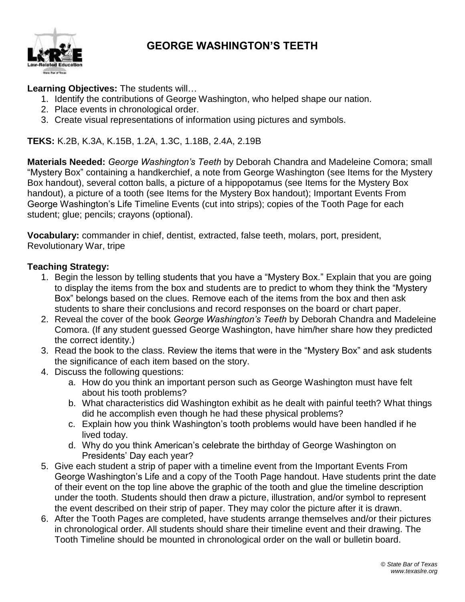

### **GEORGE WASHINGTON'S TEETH**

#### **Learning Objectives:** The students will…

- 1. Identify the contributions of George Washington, who helped shape our nation.
- 2. Place events in chronological order.
- 3. Create visual representations of information using pictures and symbols.

**TEKS:** K.2B, K.3A, K.15B, 1.2A, 1.3C, 1.18B, 2.4A, 2.19B

**Materials Needed:** *George Washington's Teeth* by Deborah Chandra and Madeleine Comora; small "Mystery Box" containing a handkerchief, a note from George Washington (see Items for the Mystery Box handout), several cotton balls, a picture of a hippopotamus (see Items for the Mystery Box handout), a picture of a tooth (see Items for the Mystery Box handout); Important Events From George Washington's Life Timeline Events (cut into strips); copies of the Tooth Page for each student; glue; pencils; crayons (optional).

**Vocabulary:** commander in chief, dentist, extracted, false teeth, molars, port, president, Revolutionary War, tripe

#### **Teaching Strategy:**

- 1. Begin the lesson by telling students that you have a "Mystery Box." Explain that you are going to display the items from the box and students are to predict to whom they think the "Mystery Box" belongs based on the clues. Remove each of the items from the box and then ask students to share their conclusions and record responses on the board or chart paper.
- 2. Reveal the cover of the book *George Washington's Teeth* by Deborah Chandra and Madeleine Comora. (If any student guessed George Washington, have him/her share how they predicted the correct identity.)
- 3. Read the book to the class. Review the items that were in the "Mystery Box" and ask students the significance of each item based on the story.
- 4. Discuss the following questions:
	- a. How do you think an important person such as George Washington must have felt about his tooth problems?
	- b. What characteristics did Washington exhibit as he dealt with painful teeth? What things did he accomplish even though he had these physical problems?
	- c. Explain how you think Washington's tooth problems would have been handled if he lived today.
	- d. Why do you think American's celebrate the birthday of George Washington on Presidents' Day each year?
- 5. Give each student a strip of paper with a timeline event from the Important Events From George Washington's Life and a copy of the Tooth Page handout. Have students print the date of their event on the top line above the graphic of the tooth and glue the timeline description under the tooth. Students should then draw a picture, illustration, and/or symbol to represent the event described on their strip of paper. They may color the picture after it is drawn.
- 6. After the Tooth Pages are completed, have students arrange themselves and/or their pictures in chronological order. All students should share their timeline event and their drawing. The Tooth Timeline should be mounted in chronological order on the wall or bulletin board.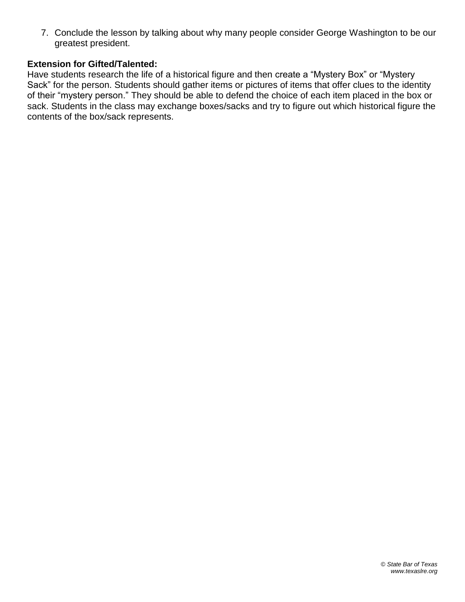7. Conclude the lesson by talking about why many people consider George Washington to be our greatest president.

#### **Extension for Gifted/Talented:**

Have students research the life of a historical figure and then create a "Mystery Box" or "Mystery Sack" for the person. Students should gather items or pictures of items that offer clues to the identity of their "mystery person." They should be able to defend the choice of each item placed in the box or sack. Students in the class may exchange boxes/sacks and try to figure out which historical figure the contents of the box/sack represents.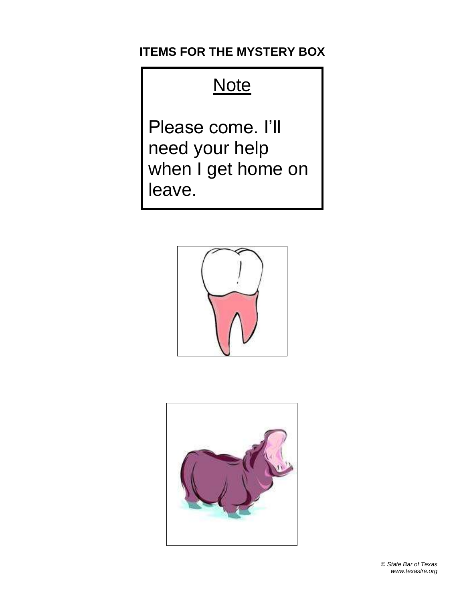## **ITEMS FOR THE MYSTERY BOX**

# **Note**

Please come. I'll need your help when I get home on leave.



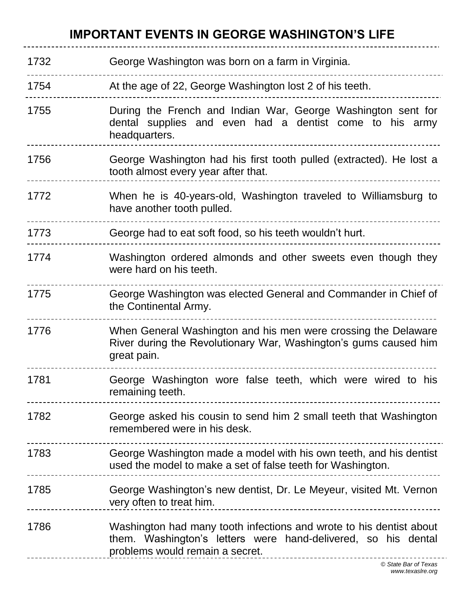## **IMPORTANT EVENTS IN GEORGE WASHINGTON'S LIFE**

| 1732 | George Washington was born on a farm in Virginia.                                                                                                                                                      |
|------|--------------------------------------------------------------------------------------------------------------------------------------------------------------------------------------------------------|
| 1754 | At the age of 22, George Washington lost 2 of his teeth.                                                                                                                                               |
| 1755 | During the French and Indian War, George Washington sent for<br>dental supplies and even had a dentist come to his army<br>headquarters.                                                               |
| 1756 | George Washington had his first tooth pulled (extracted). He lost a<br>tooth almost every year after that.                                                                                             |
| 1772 | When he is 40-years-old, Washington traveled to Williamsburg to<br>have another tooth pulled.                                                                                                          |
| 1773 | George had to eat soft food, so his teeth wouldn't hurt.                                                                                                                                               |
| 1774 | Washington ordered almonds and other sweets even though they<br>were hard on his teeth.                                                                                                                |
| 1775 | George Washington was elected General and Commander in Chief of<br>the Continental Army.                                                                                                               |
| 1776 | When General Washington and his men were crossing the Delaware<br>River during the Revolutionary War, Washington's gums caused him<br>great pain.                                                      |
| 1781 | George Washington wore false teeth, which were wired to his<br>remaining teeth.                                                                                                                        |
| 1782 | George asked his cousin to send him 2 small teeth that Washington<br>remembered were in his desk.                                                                                                      |
| 1783 | George Washington made a model with his own teeth, and his dentist<br>used the model to make a set of false teeth for Washington.                                                                      |
| 1785 | George Washington's new dentist, Dr. Le Meyeur, visited Mt. Vernon<br>very often to treat him.                                                                                                         |
| 1786 | Washington had many tooth infections and wrote to his dentist about<br>them. Washington's letters were hand-delivered, so his dental<br>problems would remain a secret.<br>--------------------------- |
|      | © State Bar of Texas                                                                                                                                                                                   |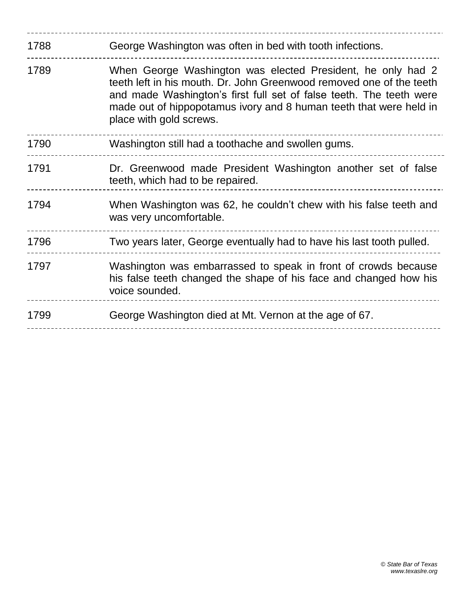| 1788 | George Washington was often in bed with tooth infections.                                                                                                                                                                                                                                                   |
|------|-------------------------------------------------------------------------------------------------------------------------------------------------------------------------------------------------------------------------------------------------------------------------------------------------------------|
| 1789 | When George Washington was elected President, he only had 2<br>teeth left in his mouth. Dr. John Greenwood removed one of the teeth<br>and made Washington's first full set of false teeth. The teeth were<br>made out of hippopotamus ivory and 8 human teeth that were held in<br>place with gold screws. |
| 1790 | Washington still had a toothache and swollen gums.                                                                                                                                                                                                                                                          |
| 1791 | Dr. Greenwood made President Washington another set of false<br>teeth, which had to be repaired.                                                                                                                                                                                                            |
| 1794 | When Washington was 62, he couldn't chew with his false teeth and<br>was very uncomfortable.                                                                                                                                                                                                                |
| 1796 | Two years later, George eventually had to have his last tooth pulled.                                                                                                                                                                                                                                       |
| 1797 | Washington was embarrassed to speak in front of crowds because<br>his false teeth changed the shape of his face and changed how his<br>voice sounded.                                                                                                                                                       |
| 1799 | George Washington died at Mt. Vernon at the age of 67.                                                                                                                                                                                                                                                      |